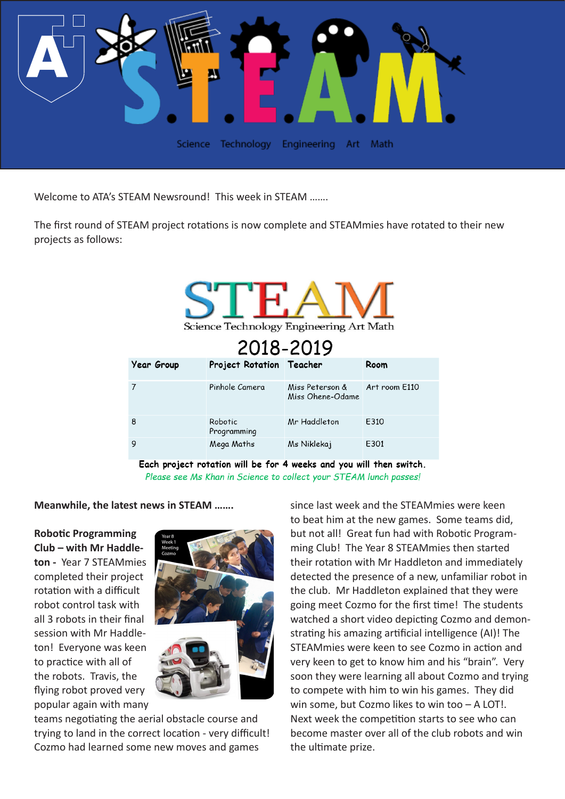

Welcome to ATA's STEAM Newsround! This week in STEAM .......

The first round of STEAM project rotations is now complete and STEAMmies have rotated to their new projects as follows:

| Science Technology Engineering Art Math<br>2018-2019 |                          |                                     |               |
|------------------------------------------------------|--------------------------|-------------------------------------|---------------|
| <b>Year Group</b>                                    | Project Rotation Teacher |                                     | Room          |
| 7                                                    | Pinhole Camera           | Miss Peterson &<br>Miss Ohene-Odame | Art room E110 |
| 8                                                    | Robotic<br>Programming   | Mr Haddleton                        | E310          |
| 9                                                    | Mega Maths               | Ms Niklekaj                         | E301          |

Each project rotation will be for 4 weeks and you will then switch. Please see Ms Khan in Science to collect your STEAM lunch passes!

**Meanwhile, the latest news in STEAM …….**

**Robotic Programming Club – with Mr Haddleton -** Year 7 STEAMmies completed their project rotation with a difficult robot control task with all 3 robots in their final session with Mr Haddleton! Everyone was keen to practice with all of the robots. Travis, the flying robot proved very popular again with many



teams negotiating the aerial obstacle course and trying to land in the correct location - very difficult! Cozmo had learned some new moves and games

since last week and the STEAMmies were keen to beat him at the new games. Some teams did, but not all! Great fun had with Robotic Programming Club! The Year 8 STEAMmies then started their rotation with Mr Haddleton and immediately detected the presence of a new, unfamiliar robot in the club. Mr Haddleton explained that they were going meet Cozmo for the first time! The students watched a short video depicting Cozmo and demonstrating his amazing artificial intelligence (AI)! The STEAMmies were keen to see Cozmo in action and very keen to get to know him and his "brain". Very soon they were learning all about Cozmo and trying to compete with him to win his games. They did win some, but Cozmo likes to win too – A LOT!. Next week the competition starts to see who can become master over all of the club robots and win the ultimate prize.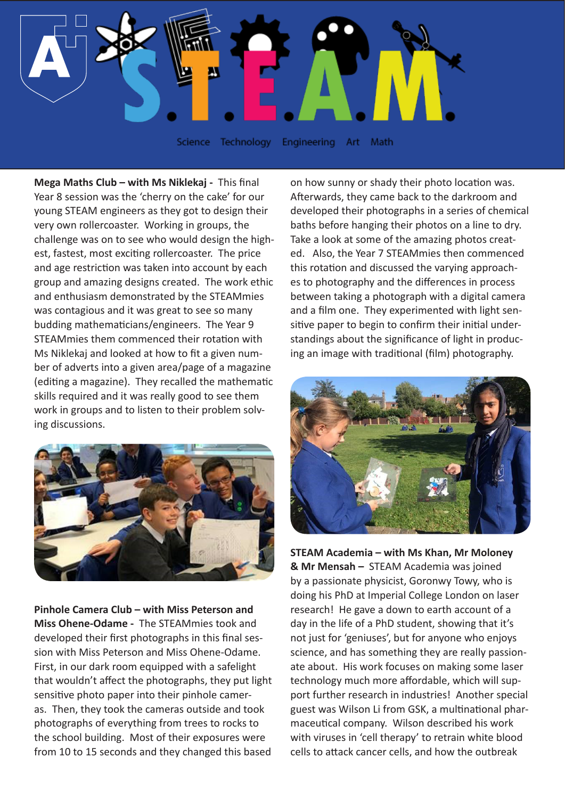

Science Technology Engineering Art Math

**Mega Maths Club – with Ms Niklekaj -** This final Year 8 session was the 'cherry on the cake' for our young STEAM engineers as they got to design their very own rollercoaster. Working in groups, the challenge was on to see who would design the highest, fastest, most exciting rollercoaster. The price and age restriction was taken into account by each group and amazing designs created. The work ethic and enthusiasm demonstrated by the STEAMmies was contagious and it was great to see so many budding mathematicians/engineers. The Year 9 STEAMmies them commenced their rotation with Ms Niklekaj and looked at how to fit a given number of adverts into a given area/page of a magazine (editing a magazine). They recalled the mathematic skills required and it was really good to see them work in groups and to listen to their problem solving discussions.



**Pinhole Camera Club – with Miss Peterson and Miss Ohene-Odame -** The STEAMmies took and developed their first photographs in this final session with Miss Peterson and Miss Ohene-Odame. First, in our dark room equipped with a safelight that wouldn't affect the photographs, they put light sensitive photo paper into their pinhole cameras. Then, they took the cameras outside and took photographs of everything from trees to rocks to the school building. Most of their exposures were from 10 to 15 seconds and they changed this based

on how sunny or shady their photo location was. Afterwards, they came back to the darkroom and developed their photographs in a series of chemical baths before hanging their photos on a line to dry. Take a look at some of the amazing photos created. Also, the Year 7 STEAMmies then commenced this rotation and discussed the varying approaches to photography and the differences in process between taking a photograph with a digital camera and a film one. They experimented with light sensitive paper to begin to confirm their initial understandings about the significance of light in producing an image with traditional (film) photography.



**STEAM Academia – with Ms Khan, Mr Moloney & Mr Mensah –** STEAM Academia was joined by a passionate physicist, Goronwy Towy, who is doing his PhD at Imperial College London on laser research! He gave a down to earth account of a day in the life of a PhD student, showing that it's not just for 'geniuses', but for anyone who enjoys science, and has something they are really passionate about. His work focuses on making some laser technology much more affordable, which will support further research in industries! Another special guest was Wilson Li from GSK, a multinational pharmaceutical company. Wilson described his work with viruses in 'cell therapy' to retrain white blood cells to attack cancer cells, and how the outbreak